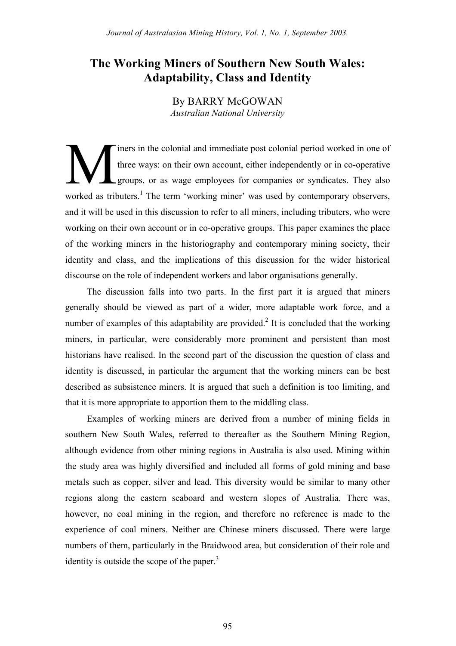# **The Working Miners of Southern New South Wales: Adaptability, Class and Identity**

By BARRY McGOWAN *Australian National University*

iners in the colonial and immediate post colonial period worked in one of three ways: on their own account, either independently or in co-operative groups, or as wage employees for companies or syndicates. They also worked as tributers.<sup>1</sup> The term 'working miner' was used by contemporary observers, and it will be used in this discussion to refer to all miners, including tributers, who were working on their own account or in co-operative groups. This paper examines the place of the working miners in the historiography and contemporary mining society, their identity and class, and the implications of this discussion for the wider historical discourse on the role of independent workers and labor organisations generally. M

The discussion falls into two parts. In the first part it is argued that miners generally should be viewed as part of a wider, more adaptable work force, and a number of examples of this adaptability are provided.<sup>2</sup> It is concluded that the working miners, in particular, were considerably more prominent and persistent than most historians have realised. In the second part of the discussion the question of class and identity is discussed, in particular the argument that the working miners can be best described as subsistence miners. It is argued that such a definition is too limiting, and that it is more appropriate to apportion them to the middling class.

Examples of working miners are derived from a number of mining fields in southern New South Wales, referred to thereafter as the Southern Mining Region, although evidence from other mining regions in Australia is also used. Mining within the study area was highly diversified and included all forms of gold mining and base metals such as copper, silver and lead. This diversity would be similar to many other regions along the eastern seaboard and western slopes of Australia. There was, however, no coal mining in the region, and therefore no reference is made to the experience of coal miners. Neither are Chinese miners discussed. There were large numbers of them, particularly in the Braidwood area, but consideration of their role and identity is outside the scope of the paper. $3$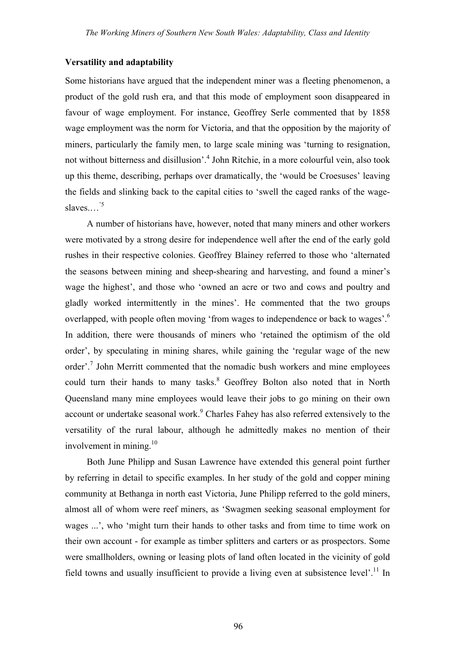#### **Versatility and adaptability**

Some historians have argued that the independent miner was a fleeting phenomenon, a product of the gold rush era, and that this mode of employment soon disappeared in favour of wage employment. For instance, Geoffrey Serle commented that by 1858 wage employment was the norm for Victoria, and that the opposition by the majority of miners, particularly the family men, to large scale mining was 'turning to resignation, not without bitterness and disillusion'.<sup>4</sup> John Ritchie, in a more colourful vein, also took up this theme, describing, perhaps over dramatically, the 'would be Croesuses' leaving the fields and slinking back to the capital cities to 'swell the caged ranks of the wageslaves... $^{3}$ 

A number of historians have, however, noted that many miners and other workers were motivated by a strong desire for independence well after the end of the early gold rushes in their respective colonies. Geoffrey Blainey referred to those who 'alternated the seasons between mining and sheep-shearing and harvesting, and found a miner's wage the highest', and those who 'owned an acre or two and cows and poultry and gladly worked intermittently in the mines'. He commented that the two groups overlapped, with people often moving 'from wages to independence or back to wages'.<sup>6</sup> In addition, there were thousands of miners who 'retained the optimism of the old order', by speculating in mining shares, while gaining the 'regular wage of the new order'.<sup>7</sup> John Merritt commented that the nomadic bush workers and mine employees could turn their hands to many tasks.<sup>8</sup> Geoffrey Bolton also noted that in North Queensland many mine employees would leave their jobs to go mining on their own account or undertake seasonal work.<sup>9</sup> Charles Fahey has also referred extensively to the versatility of the rural labour, although he admittedly makes no mention of their involvement in mining. $10$ 

Both June Philipp and Susan Lawrence have extended this general point further by referring in detail to specific examples. In her study of the gold and copper mining community at Bethanga in north east Victoria, June Philipp referred to the gold miners, almost all of whom were reef miners, as 'Swagmen seeking seasonal employment for wages ...', who 'might turn their hands to other tasks and from time to time work on their own account - for example as timber splitters and carters or as prospectors. Some were smallholders, owning or leasing plots of land often located in the vicinity of gold field towns and usually insufficient to provide a living even at subsistence level'.<sup>11</sup> In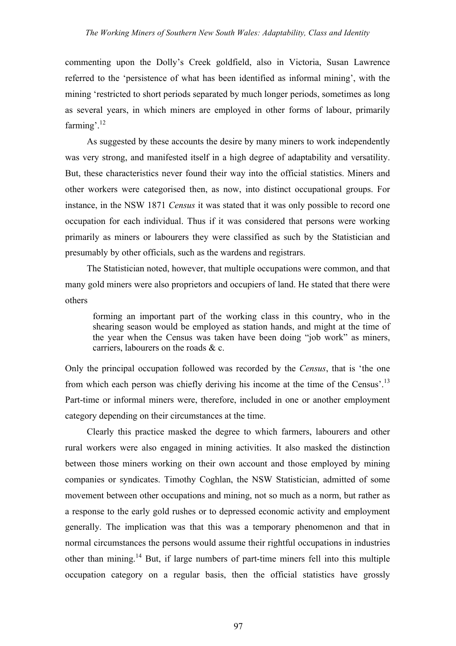commenting upon the Dolly's Creek goldfield, also in Victoria, Susan Lawrence referred to the 'persistence of what has been identified as informal mining', with the mining 'restricted to short periods separated by much longer periods, sometimes as long as several years, in which miners are employed in other forms of labour, primarily farming<sup>'</sup>.<sup>12</sup>

As suggested by these accounts the desire by many miners to work independently was very strong, and manifested itself in a high degree of adaptability and versatility. But, these characteristics never found their way into the official statistics. Miners and other workers were categorised then, as now, into distinct occupational groups. For instance, in the NSW 1871 *Census* it was stated that it was only possible to record one occupation for each individual. Thus if it was considered that persons were working primarily as miners or labourers they were classified as such by the Statistician and presumably by other officials, such as the wardens and registrars.

The Statistician noted, however, that multiple occupations were common, and that many gold miners were also proprietors and occupiers of land. He stated that there were others

forming an important part of the working class in this country, who in the shearing season would be employed as station hands, and might at the time of the year when the Census was taken have been doing "job work" as miners, carriers, labourers on the roads & c.

Only the principal occupation followed was recorded by the *Census*, that is 'the one from which each person was chiefly deriving his income at the time of the Census'.<sup>13</sup> Part-time or informal miners were, therefore, included in one or another employment category depending on their circumstances at the time.

Clearly this practice masked the degree to which farmers, labourers and other rural workers were also engaged in mining activities. It also masked the distinction between those miners working on their own account and those employed by mining companies or syndicates. Timothy Coghlan, the NSW Statistician, admitted of some movement between other occupations and mining, not so much as a norm, but rather as a response to the early gold rushes or to depressed economic activity and employment generally. The implication was that this was a temporary phenomenon and that in normal circumstances the persons would assume their rightful occupations in industries other than mining.<sup>14</sup> But, if large numbers of part-time miners fell into this multiple occupation category on a regular basis, then the official statistics have grossly

97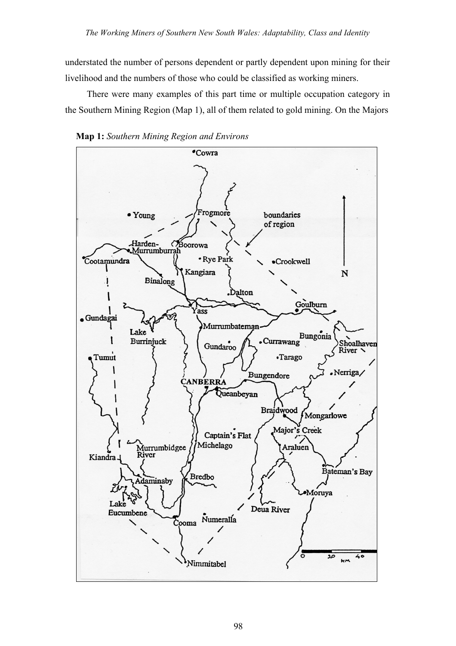understated the number of persons dependent or partly dependent upon mining for their livelihood and the numbers of those who could be classified as working miners.

There were many examples of this part time or multiple occupation category in the Southern Mining Region (Map 1), all of them related to gold mining. On the Majors



**Map 1:** *Southern Mining Region and Environs*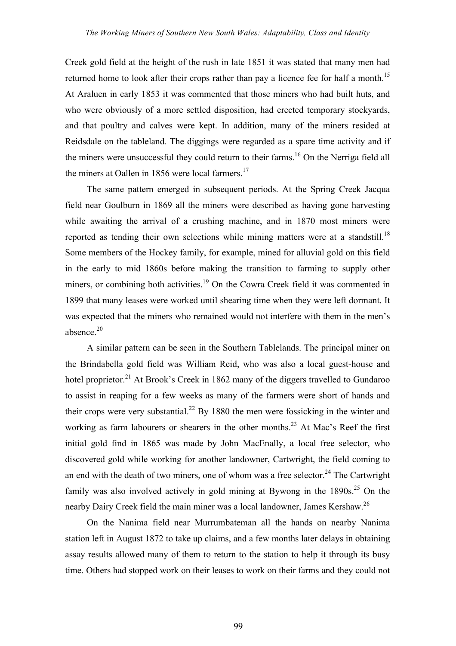Creek gold field at the height of the rush in late 1851 it was stated that many men had returned home to look after their crops rather than pay a licence fee for half a month.<sup>15</sup> At Araluen in early 1853 it was commented that those miners who had built huts, and who were obviously of a more settled disposition, had erected temporary stockyards, and that poultry and calves were kept. In addition, many of the miners resided at Reidsdale on the tableland. The diggings were regarded as a spare time activity and if the miners were unsuccessful they could return to their farms.<sup>16</sup> On the Nerriga field all the miners at Oallen in 1856 were local farmers.<sup>17</sup>

The same pattern emerged in subsequent periods. At the Spring Creek Jacqua field near Goulburn in 1869 all the miners were described as having gone harvesting while awaiting the arrival of a crushing machine, and in 1870 most miners were reported as tending their own selections while mining matters were at a standstill.<sup>18</sup> Some members of the Hockey family, for example, mined for alluvial gold on this field in the early to mid 1860s before making the transition to farming to supply other miners, or combining both activities.<sup>19</sup> On the Cowra Creek field it was commented in 1899 that many leases were worked until shearing time when they were left dormant. It was expected that the miners who remained would not interfere with them in the men's absence. $20$ 

A similar pattern can be seen in the Southern Tablelands. The principal miner on the Brindabella gold field was William Reid, who was also a local guest-house and hotel proprietor.<sup>21</sup> At Brook's Creek in 1862 many of the diggers travelled to Gundaroo to assist in reaping for a few weeks as many of the farmers were short of hands and their crops were very substantial.<sup>22</sup> By 1880 the men were fossicking in the winter and working as farm labourers or shearers in the other months.<sup>23</sup> At Mac's Reef the first initial gold find in 1865 was made by John MacEnally, a local free selector, who discovered gold while working for another landowner, Cartwright, the field coming to an end with the death of two miners, one of whom was a free selector.<sup>24</sup> The Cartwright family was also involved actively in gold mining at Bywong in the  $1890s^{25}$  On the nearby Dairy Creek field the main miner was a local landowner, James Kershaw.<sup>26</sup>

On the Nanima field near Murrumbateman all the hands on nearby Nanima station left in August 1872 to take up claims, and a few months later delays in obtaining assay results allowed many of them to return to the station to help it through its busy time. Others had stopped work on their leases to work on their farms and they could not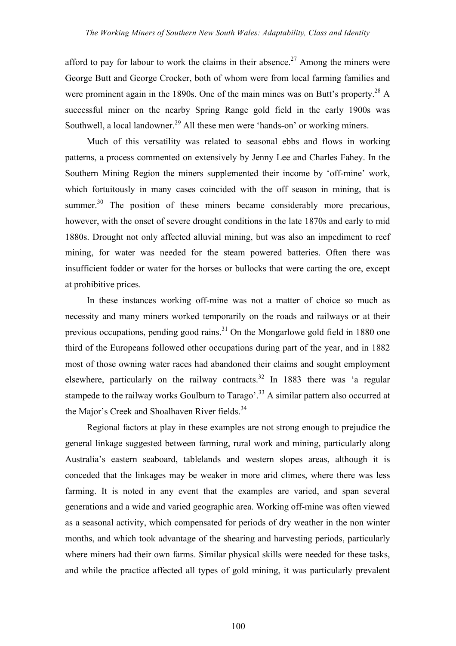afford to pay for labour to work the claims in their absence.<sup>27</sup> Among the miners were George Butt and George Crocker, both of whom were from local farming families and were prominent again in the 1890s. One of the main mines was on Butt's property.<sup>28</sup> A successful miner on the nearby Spring Range gold field in the early 1900s was Southwell, a local landowner.<sup>29</sup> All these men were 'hands-on' or working miners.

Much of this versatility was related to seasonal ebbs and flows in working patterns, a process commented on extensively by Jenny Lee and Charles Fahey. In the Southern Mining Region the miners supplemented their income by 'off-mine' work, which fortuitously in many cases coincided with the off season in mining, that is summer.<sup>30</sup> The position of these miners became considerably more precarious, however, with the onset of severe drought conditions in the late 1870s and early to mid 1880s. Drought not only affected alluvial mining, but was also an impediment to reef mining, for water was needed for the steam powered batteries. Often there was insufficient fodder or water for the horses or bullocks that were carting the ore, except at prohibitive prices.

In these instances working off-mine was not a matter of choice so much as necessity and many miners worked temporarily on the roads and railways or at their previous occupations, pending good rains.<sup>31</sup> On the Mongarlowe gold field in 1880 one third of the Europeans followed other occupations during part of the year, and in 1882 most of those owning water races had abandoned their claims and sought employment elsewhere, particularly on the railway contracts.<sup>32</sup> In 1883 there was 'a regular stampede to the railway works Goulburn to Tarago'.<sup>33</sup> A similar pattern also occurred at the Major's Creek and Shoalhaven River fields.<sup>34</sup>

Regional factors at play in these examples are not strong enough to prejudice the general linkage suggested between farming, rural work and mining, particularly along Australia's eastern seaboard, tablelands and western slopes areas, although it is conceded that the linkages may be weaker in more arid climes, where there was less farming. It is noted in any event that the examples are varied, and span several generations and a wide and varied geographic area. Working off-mine was often viewed as a seasonal activity, which compensated for periods of dry weather in the non winter months, and which took advantage of the shearing and harvesting periods, particularly where miners had their own farms. Similar physical skills were needed for these tasks, and while the practice affected all types of gold mining, it was particularly prevalent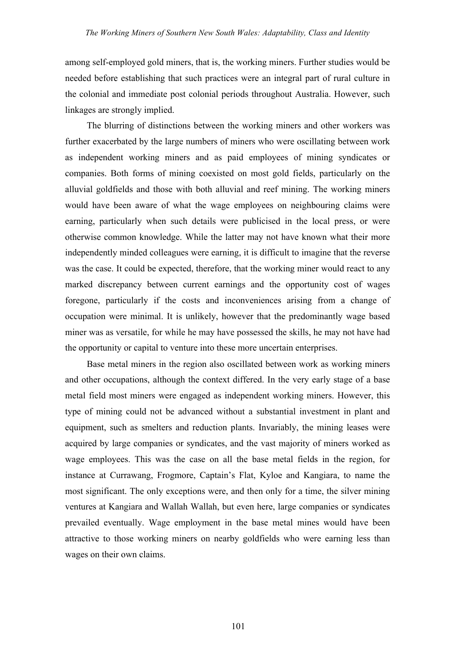among self-employed gold miners, that is, the working miners. Further studies would be needed before establishing that such practices were an integral part of rural culture in the colonial and immediate post colonial periods throughout Australia. However, such linkages are strongly implied.

The blurring of distinctions between the working miners and other workers was further exacerbated by the large numbers of miners who were oscillating between work as independent working miners and as paid employees of mining syndicates or companies. Both forms of mining coexisted on most gold fields, particularly on the alluvial goldfields and those with both alluvial and reef mining. The working miners would have been aware of what the wage employees on neighbouring claims were earning, particularly when such details were publicised in the local press, or were otherwise common knowledge. While the latter may not have known what their more independently minded colleagues were earning, it is difficult to imagine that the reverse was the case. It could be expected, therefore, that the working miner would react to any marked discrepancy between current earnings and the opportunity cost of wages foregone, particularly if the costs and inconveniences arising from a change of occupation were minimal. It is unlikely, however that the predominantly wage based miner was as versatile, for while he may have possessed the skills, he may not have had the opportunity or capital to venture into these more uncertain enterprises.

Base metal miners in the region also oscillated between work as working miners and other occupations, although the context differed. In the very early stage of a base metal field most miners were engaged as independent working miners. However, this type of mining could not be advanced without a substantial investment in plant and equipment, such as smelters and reduction plants. Invariably, the mining leases were acquired by large companies or syndicates, and the vast majority of miners worked as wage employees. This was the case on all the base metal fields in the region, for instance at Currawang, Frogmore, Captain's Flat, Kyloe and Kangiara, to name the most significant. The only exceptions were, and then only for a time, the silver mining ventures at Kangiara and Wallah Wallah, but even here, large companies or syndicates prevailed eventually. Wage employment in the base metal mines would have been attractive to those working miners on nearby goldfields who were earning less than wages on their own claims.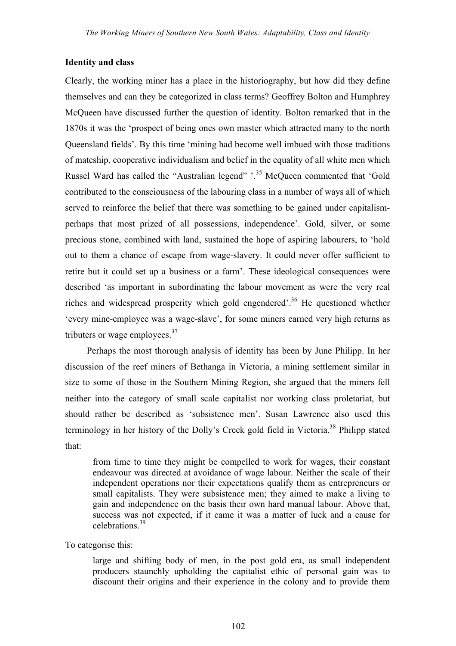## **Identity and class**

Clearly, the working miner has a place in the historiography, but how did they define themselves and can they be categorized in class terms? Geoffrey Bolton and Humphrey McQueen have discussed further the question of identity. Bolton remarked that in the 1870s it was the 'prospect of being ones own master which attracted many to the north Queensland fields'. By this time 'mining had become well imbued with those traditions of mateship, cooperative individualism and belief in the equality of all white men which Russel Ward has called the "Australian legend" '.<sup>35</sup> McQueen commented that 'Gold contributed to the consciousness of the labouring class in a number of ways all of which served to reinforce the belief that there was something to be gained under capitalismperhaps that most prized of all possessions, independence'. Gold, silver, or some precious stone, combined with land, sustained the hope of aspiring labourers, to 'hold out to them a chance of escape from wage-slavery. It could never offer sufficient to retire but it could set up a business or a farm'. These ideological consequences were described 'as important in subordinating the labour movement as were the very real riches and widespread prosperity which gold engendered'.<sup>36</sup> He questioned whether 'every mine-employee was a wage-slave', for some miners earned very high returns as tributers or wage employees. $37$ 

Perhaps the most thorough analysis of identity has been by June Philipp. In her discussion of the reef miners of Bethanga in Victoria, a mining settlement similar in size to some of those in the Southern Mining Region, she argued that the miners fell neither into the category of small scale capitalist nor working class proletariat, but should rather be described as 'subsistence men'. Susan Lawrence also used this terminology in her history of the Dolly's Creek gold field in Victoria.<sup>38</sup> Philipp stated that:

from time to time they might be compelled to work for wages, their constant endeavour was directed at avoidance of wage labour. Neither the scale of their independent operations nor their expectations qualify them as entrepreneurs or small capitalists. They were subsistence men; they aimed to make a living to gain and independence on the basis their own hard manual labour. Above that, success was not expected, if it came it was a matter of luck and a cause for celebrations.39

To categorise this:

large and shifting body of men, in the post gold era, as small independent producers staunchly upholding the capitalist ethic of personal gain was to discount their origins and their experience in the colony and to provide them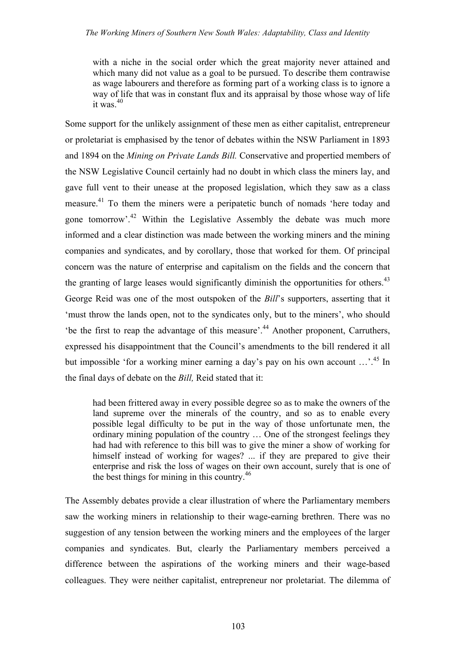with a niche in the social order which the great majority never attained and which many did not value as a goal to be pursued. To describe them contrawise as wage labourers and therefore as forming part of a working class is to ignore a way of life that was in constant flux and its appraisal by those whose way of life it was  $40$ 

Some support for the unlikely assignment of these men as either capitalist, entrepreneur or proletariat is emphasised by the tenor of debates within the NSW Parliament in 1893 and 1894 on the *Mining on Private Lands Bill.* Conservative and propertied members of the NSW Legislative Council certainly had no doubt in which class the miners lay, and gave full vent to their unease at the proposed legislation, which they saw as a class measure.<sup>41</sup> To them the miners were a peripatetic bunch of nomads 'here today and gone tomorrow'.<sup>42</sup> Within the Legislative Assembly the debate was much more informed and a clear distinction was made between the working miners and the mining companies and syndicates, and by corollary, those that worked for them. Of principal concern was the nature of enterprise and capitalism on the fields and the concern that the granting of large leases would significantly diminish the opportunities for others.<sup>43</sup> George Reid was one of the most outspoken of the *Bill*'s supporters, asserting that it 'must throw the lands open, not to the syndicates only, but to the miners', who should 'be the first to reap the advantage of this measure'.<sup>44</sup> Another proponent, Carruthers, expressed his disappointment that the Council's amendments to the bill rendered it all but impossible 'for a working miner earning a day's pay on his own account ...'.<sup>45</sup> In the final days of debate on the *Bill,* Reid stated that it:

had been frittered away in every possible degree so as to make the owners of the land supreme over the minerals of the country, and so as to enable every possible legal difficulty to be put in the way of those unfortunate men, the ordinary mining population of the country … One of the strongest feelings they had had with reference to this bill was to give the miner a show of working for himself instead of working for wages? ... if they are prepared to give their enterprise and risk the loss of wages on their own account, surely that is one of the best things for mining in this country.<sup>46</sup>

The Assembly debates provide a clear illustration of where the Parliamentary members saw the working miners in relationship to their wage-earning brethren. There was no suggestion of any tension between the working miners and the employees of the larger companies and syndicates. But, clearly the Parliamentary members perceived a difference between the aspirations of the working miners and their wage-based colleagues. They were neither capitalist, entrepreneur nor proletariat. The dilemma of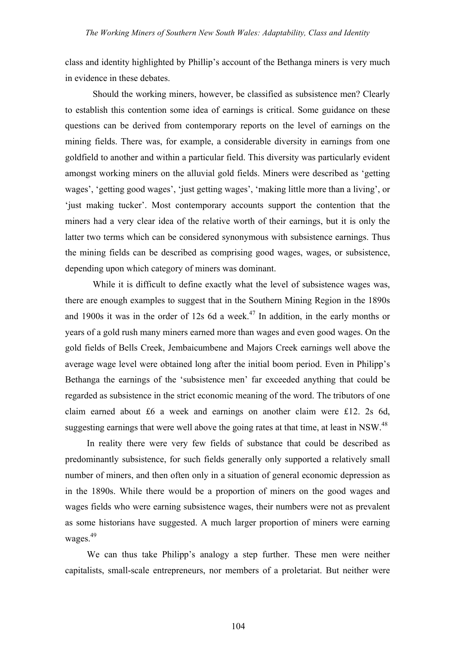class and identity highlighted by Phillip's account of the Bethanga miners is very much in evidence in these debates.

Should the working miners, however, be classified as subsistence men? Clearly to establish this contention some idea of earnings is critical. Some guidance on these questions can be derived from contemporary reports on the level of earnings on the mining fields. There was, for example, a considerable diversity in earnings from one goldfield to another and within a particular field. This diversity was particularly evident amongst working miners on the alluvial gold fields. Miners were described as 'getting wages', 'getting good wages', 'just getting wages', 'making little more than a living', or 'just making tucker'. Most contemporary accounts support the contention that the miners had a very clear idea of the relative worth of their earnings, but it is only the latter two terms which can be considered synonymous with subsistence earnings. Thus the mining fields can be described as comprising good wages, wages, or subsistence, depending upon which category of miners was dominant.

While it is difficult to define exactly what the level of subsistence wages was, there are enough examples to suggest that in the Southern Mining Region in the 1890s and 1900s it was in the order of 12s 6d a week.<sup>47</sup> In addition, in the early months or years of a gold rush many miners earned more than wages and even good wages. On the gold fields of Bells Creek, Jembaicumbene and Majors Creek earnings well above the average wage level were obtained long after the initial boom period. Even in Philipp's Bethanga the earnings of the 'subsistence men' far exceeded anything that could be regarded as subsistence in the strict economic meaning of the word. The tributors of one claim earned about £6 a week and earnings on another claim were £12. 2s 6d, suggesting earnings that were well above the going rates at that time, at least in NSW.<sup>48</sup>

In reality there were very few fields of substance that could be described as predominantly subsistence, for such fields generally only supported a relatively small number of miners, and then often only in a situation of general economic depression as in the 1890s. While there would be a proportion of miners on the good wages and wages fields who were earning subsistence wages, their numbers were not as prevalent as some historians have suggested. A much larger proportion of miners were earning wages. $49$ 

We can thus take Philipp's analogy a step further. These men were neither capitalists, small-scale entrepreneurs, nor members of a proletariat. But neither were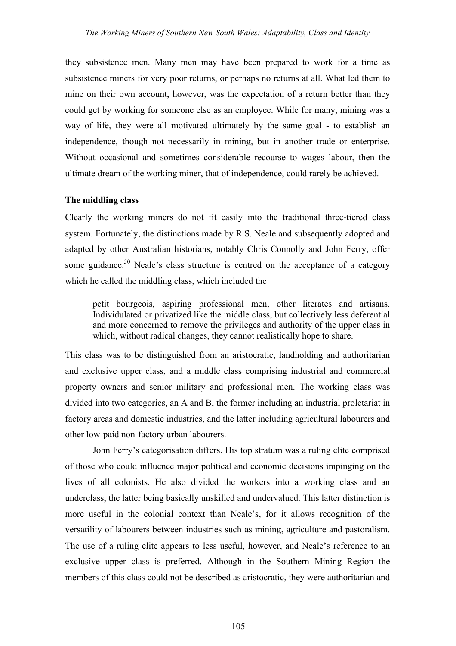they subsistence men. Many men may have been prepared to work for a time as subsistence miners for very poor returns, or perhaps no returns at all. What led them to mine on their own account, however, was the expectation of a return better than they could get by working for someone else as an employee. While for many, mining was a way of life, they were all motivated ultimately by the same goal - to establish an independence, though not necessarily in mining, but in another trade or enterprise. Without occasional and sometimes considerable recourse to wages labour, then the ultimate dream of the working miner, that of independence, could rarely be achieved.

#### **The middling class**

Clearly the working miners do not fit easily into the traditional three-tiered class system. Fortunately, the distinctions made by R.S. Neale and subsequently adopted and adapted by other Australian historians, notably Chris Connolly and John Ferry, offer some guidance.<sup>50</sup> Neale's class structure is centred on the acceptance of a category which he called the middling class, which included the

petit bourgeois, aspiring professional men, other literates and artisans. Individulated or privatized like the middle class, but collectively less deferential and more concerned to remove the privileges and authority of the upper class in which, without radical changes, they cannot realistically hope to share.

This class was to be distinguished from an aristocratic, landholding and authoritarian and exclusive upper class, and a middle class comprising industrial and commercial property owners and senior military and professional men. The working class was divided into two categories, an A and B, the former including an industrial proletariat in factory areas and domestic industries, and the latter including agricultural labourers and other low-paid non-factory urban labourers.

John Ferry's categorisation differs. His top stratum was a ruling elite comprised of those who could influence major political and economic decisions impinging on the lives of all colonists. He also divided the workers into a working class and an underclass, the latter being basically unskilled and undervalued. This latter distinction is more useful in the colonial context than Neale's, for it allows recognition of the versatility of labourers between industries such as mining, agriculture and pastoralism. The use of a ruling elite appears to less useful, however, and Neale's reference to an exclusive upper class is preferred. Although in the Southern Mining Region the members of this class could not be described as aristocratic, they were authoritarian and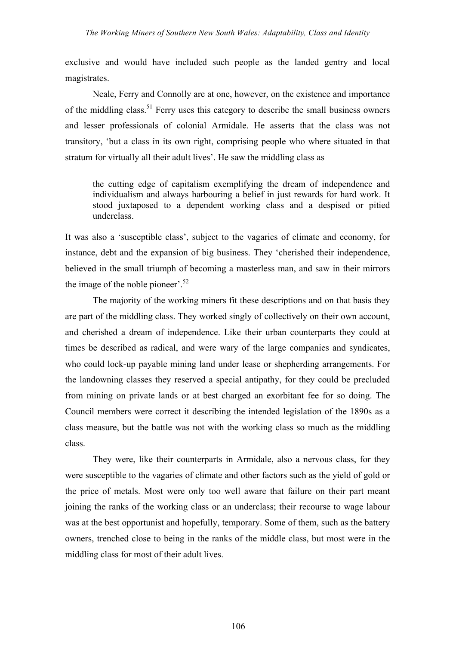exclusive and would have included such people as the landed gentry and local magistrates.

Neale, Ferry and Connolly are at one, however, on the existence and importance of the middling class.<sup>51</sup> Ferry uses this category to describe the small business owners and lesser professionals of colonial Armidale. He asserts that the class was not transitory, 'but a class in its own right, comprising people who where situated in that stratum for virtually all their adult lives'. He saw the middling class as

the cutting edge of capitalism exemplifying the dream of independence and individualism and always harbouring a belief in just rewards for hard work. It stood juxtaposed to a dependent working class and a despised or pitied underclass.

It was also a 'susceptible class', subject to the vagaries of climate and economy, for instance, debt and the expansion of big business. They 'cherished their independence, believed in the small triumph of becoming a masterless man, and saw in their mirrors the image of the noble pioneer'.<sup>52</sup>

The majority of the working miners fit these descriptions and on that basis they are part of the middling class. They worked singly of collectively on their own account, and cherished a dream of independence. Like their urban counterparts they could at times be described as radical, and were wary of the large companies and syndicates, who could lock-up payable mining land under lease or shepherding arrangements. For the landowning classes they reserved a special antipathy, for they could be precluded from mining on private lands or at best charged an exorbitant fee for so doing. The Council members were correct it describing the intended legislation of the 1890s as a class measure, but the battle was not with the working class so much as the middling class.

They were, like their counterparts in Armidale, also a nervous class, for they were susceptible to the vagaries of climate and other factors such as the yield of gold or the price of metals. Most were only too well aware that failure on their part meant joining the ranks of the working class or an underclass; their recourse to wage labour was at the best opportunist and hopefully, temporary. Some of them, such as the battery owners, trenched close to being in the ranks of the middle class, but most were in the middling class for most of their adult lives.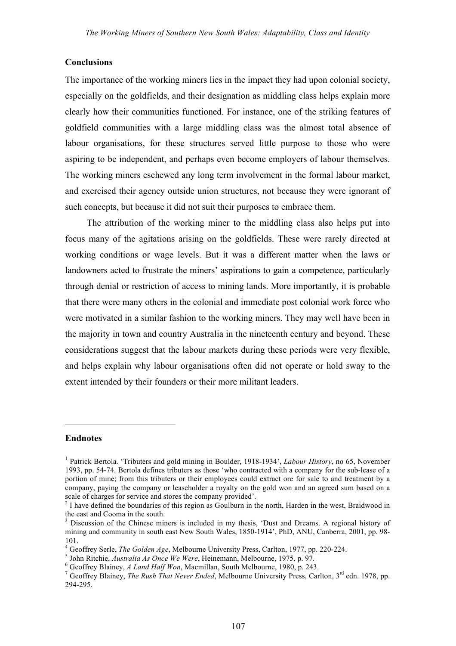#### **Conclusions**

The importance of the working miners lies in the impact they had upon colonial society, especially on the goldfields, and their designation as middling class helps explain more clearly how their communities functioned. For instance, one of the striking features of goldfield communities with a large middling class was the almost total absence of labour organisations, for these structures served little purpose to those who were aspiring to be independent, and perhaps even become employers of labour themselves. The working miners eschewed any long term involvement in the formal labour market, and exercised their agency outside union structures, not because they were ignorant of such concepts, but because it did not suit their purposes to embrace them.

The attribution of the working miner to the middling class also helps put into focus many of the agitations arising on the goldfields. These were rarely directed at working conditions or wage levels. But it was a different matter when the laws or landowners acted to frustrate the miners' aspirations to gain a competence, particularly through denial or restriction of access to mining lands. More importantly, it is probable that there were many others in the colonial and immediate post colonial work force who were motivated in a similar fashion to the working miners. They may well have been in the majority in town and country Australia in the nineteenth century and beyond. These considerations suggest that the labour markets during these periods were very flexible, and helps explain why labour organisations often did not operate or hold sway to the extent intended by their founders or their more militant leaders.

### **Endnotes**

 $\overline{a}$ 

<sup>1</sup> Patrick Bertola. 'Tributers and gold mining in Boulder, 1918-1934', *Labour History*, no 65, November 1993, pp. 54-74. Bertola defines tributers as those 'who contracted with a company for the sub-lease of a portion of mine; from this tributers or their employees could extract ore for sale to and treatment by a company, paying the company or leaseholder a royalty on the gold won and an agreed sum based on a scale of charges for service and stores the company provided'.<br><sup>2</sup> I have defined the boundaries of this region as Goulburn in the north, Harden in the west, Braidwood in

the east and Cooma in the south.<br> $3$  Discussion of the Chinese miners is included in my thesis, 'Dust and Dreams. A regional history of

mining and community in south east New South Wales, 1850-1914', PhD, ANU, Canberra, 2001, pp. 98- 101.<br>
<sup>4</sup> Geoffrey Serle, *The Golden Age*, Melbourne University Press, Carlton, 1977, pp. 220-224.<br>
<sup>5</sup> John Ritchie, *Australia As Once We Were*, Heinemann, Melbourne, 1975, p. 97.<br>
<sup>6</sup> Geoffrey Blainey, *A Land Half Wo* 

<sup>294-295.</sup>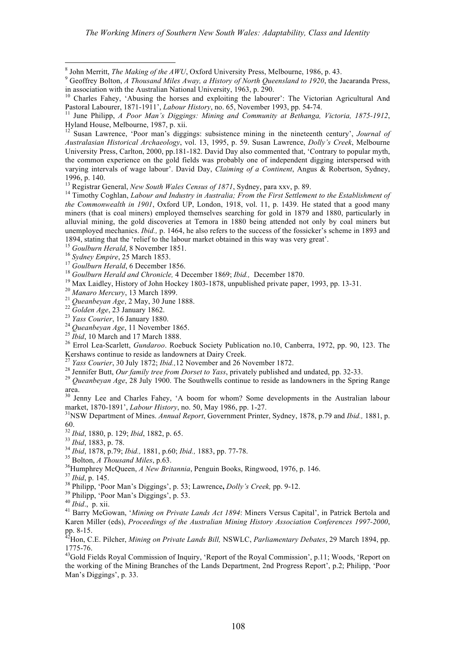1894, stating that the 'relief to the labour market obtained in this way was very great'.<br>
<sup>15</sup> *Goulburn Herald*, 8 November 1851.<br>
<sup>16</sup> *Sydney Empire*, 25 March 1853.<br>
<sup>17</sup> *Goulburn Herald*, 6 December 1866.<br>
<sup>17</sup> *Gou* Kershaws continue to reside as landowners at Dairy Creek.<br><sup>27</sup> Yass Courier, 30 July 1872; *Ibid.*, 12 November and 26 November 1872.<br><sup>28</sup> Jennifer Butt, *Our family tree from Dorset to Yass*, privately published and undat

area. <sup>30</sup> Jenny Lee and Charles Fahey, 'A boom for whom? Some developments in the Australian labour

market, 1870-1891', *Labour History*, no. 50, May 1986, pp. 1-27. <sup>31</sup>

NSW Department of Mines. *Annual Report*, Government Printer, Sydney, 1878, p.79 and *Ibid.,* 1881, p. 60.<br><sup>32</sup> Ibid, 1880, p. 129; Ibid, 1882, p. 65.<br><sup>33</sup> Ibid, 1883, p. 78.<br><sup>34</sup> Ibid, 1878, p.79; Ibid., 1881, p.60; Ibid., 1883, pp. 77-78.<br><sup>35</sup> Bolton, *A Thousand Miles*, p.63.<br><sup>36</sup> Humphrev McOueen. *A New Britannia*. Pen

<sup>37</sup> *Ibid*, p. 145.<br><sup>38</sup> Philipp, 'Poor Man's Diggings', p. 53; Lawrence, *Dolly's Creek*, pp. 9-12.<br><sup>39</sup> Philipp, 'Poor Man's Diggings', p. 53.<br><sup>40</sup> *Ibid.*, p. xii.<br><sup>41</sup> Barry McGowan, '*Mining on Private Lands Act 189* Karen Miller (eds), *Proceedings of the Australian Mining History Association Conferences 1997-2000*, pp.  $8-15$ .

Hon, C.E. Pilcher, *Mining on Private Lands Bill,* NSWLC, *Parliamentary Debates*, 29 March 1894, pp. 1775-76.

<sup>43</sup>Gold Fields Royal Commission of Inquiry, 'Report of the Royal Commission', p.11; Woods, 'Report on the working of the Mining Branches of the Lands Department, 2nd Progress Report', p.2; Philipp, 'Poor Man's Diggings', p. 33.

 $^8$  John Merritt, *The Making of the AWU*, Oxford University Press, Melbourne, 1986, p. 43.<br><sup>9</sup> Geoffrey Bolton, *A Thousand Miles Away, a History of North Queensland to 1920*, the Jacaranda Press,

in association with the Australian National University, 1963, p. 290.<br><sup>10</sup> Charles Fahey, 'Abusing the horses and exploiting the labourer': The Victorian Agricultural And Pastoral Labourer, 1871-1911'. *Labour History*, n

<sup>&</sup>lt;sup>11</sup> June Philipp, *A Poor Man's Diggings: Mining and Community at Bethanga, Victoria, 1875-1912,*<br>Hyland House, Melbourne, 1987, p. xii.

<sup>&</sup>lt;sup>12</sup> Susan Lawrence, 'Poor man's diggings: subsistence mining in the nineteenth century', *Journal of Australasian Historical Archaeology*, vol. 13, 1995, p. 59. Susan Lawrence, *Dolly's Creek*, Melbourne University Press, Carlton, 2000, pp.181-182. David Day also commented that, 'Contrary to popular myth, the common experience on the gold fields was probably one of independent digging interspersed with varying intervals of wage labour'. David Day, *Claiming of a Continent*, Angus & Robertson, Sydney, 1996, p. 140.<br><sup>13</sup> Registrar General, *New South Wales Census of 1871*, Sydney, para xxv, p. 89.<br><sup>14</sup> Timothy Coghlan, *Labour and Industry in Australia; From the First Settlement to the Establishment of* 

*the Commonwealth in 1901*, Oxford UP, London, 1918, vol. 11, p. 1439. He stated that a good many miners (that is coal miners) employed themselves searching for gold in 1879 and 1880, particularly in alluvial mining, the gold discoveries at Temora in 1880 being attended not only by coal miners but unemployed mechanics. *Ibid.,* p. 1464, he also refers to the success of the fossicker's scheme in 1893 and